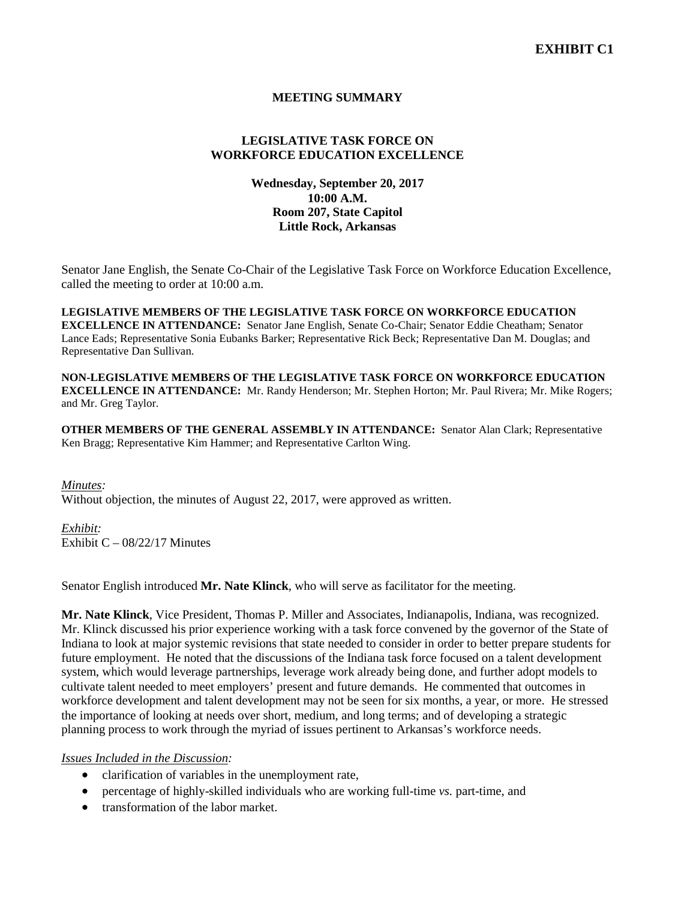# **MEETING SUMMARY**

# **LEGISLATIVE TASK FORCE ON WORKFORCE EDUCATION EXCELLENCE**

# **Wednesday, September 20, 2017 10:00 A.M. Room 207, State Capitol Little Rock, Arkansas**

Senator Jane English, the Senate Co-Chair of the Legislative Task Force on Workforce Education Excellence, called the meeting to order at 10:00 a.m.

**LEGISLATIVE MEMBERS OF THE LEGISLATIVE TASK FORCE ON WORKFORCE EDUCATION EXCELLENCE IN ATTENDANCE:** Senator Jane English, Senate Co-Chair; Senator Eddie Cheatham; Senator Lance Eads; Representative Sonia Eubanks Barker; Representative Rick Beck; Representative Dan M. Douglas; and Representative Dan Sullivan.

**NON-LEGISLATIVE MEMBERS OF THE LEGISLATIVE TASK FORCE ON WORKFORCE EDUCATION EXCELLENCE IN ATTENDANCE:** Mr. Randy Henderson; Mr. Stephen Horton; Mr. Paul Rivera; Mr. Mike Rogers; and Mr. Greg Taylor.

**OTHER MEMBERS OF THE GENERAL ASSEMBLY IN ATTENDANCE:** Senator Alan Clark; Representative Ken Bragg; Representative Kim Hammer; and Representative Carlton Wing.

*Minutes:* Without objection, the minutes of August 22, 2017, were approved as written.

*Exhibit:* Exhibit  $C - 08/22/17$  Minutes

Senator English introduced **Mr. Nate Klinck**, who will serve as facilitator for the meeting.

**Mr. Nate Klinck**, Vice President, Thomas P. Miller and Associates, Indianapolis, Indiana, was recognized. Mr. Klinck discussed his prior experience working with a task force convened by the governor of the State of Indiana to look at major systemic revisions that state needed to consider in order to better prepare students for future employment. He noted that the discussions of the Indiana task force focused on a talent development system, which would leverage partnerships, leverage work already being done, and further adopt models to cultivate talent needed to meet employers' present and future demands. He commented that outcomes in workforce development and talent development may not be seen for six months, a year, or more. He stressed the importance of looking at needs over short, medium, and long terms; and of developing a strategic planning process to work through the myriad of issues pertinent to Arkansas's workforce needs.

*Issues Included in the Discussion:*

- clarification of variables in the unemployment rate,
- percentage of highly-skilled individuals who are working full-time *vs.* part-time, and
- transformation of the labor market.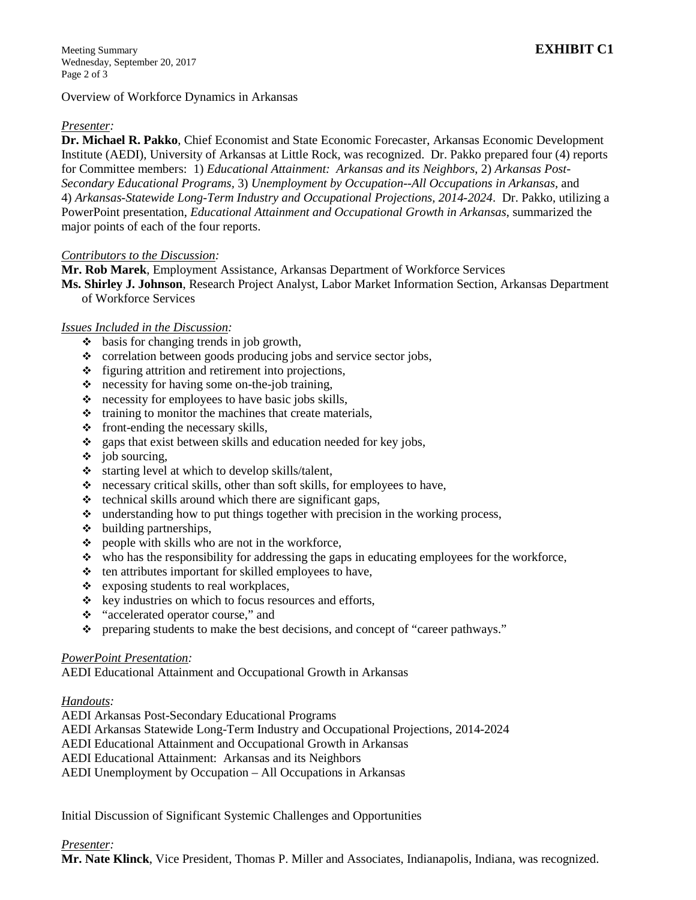Overview of Workforce Dynamics in Arkansas

### *Presenter:*

**Dr. Michael R. Pakko**, Chief Economist and State Economic Forecaster, Arkansas Economic Development Institute (AEDI), University of Arkansas at Little Rock, was recognized. Dr. Pakko prepared four (4) reports for Committee members: 1) *Educational Attainment: Arkansas and its Neighbors*, 2) *Arkansas Post-Secondary Educational Programs,* 3) *Unemployment by Occupation--All Occupations in Arkansas,* and 4) *Arkansas-Statewide Long-Term Industry and Occupational Projections, 2014-2024*. Dr. Pakko, utilizing a PowerPoint presentation, *Educational Attainment and Occupational Growth in Arkansas*, summarized the major points of each of the four reports.

### *Contributors to the Discussion:*

**Mr. Rob Marek**, Employment Assistance*,* Arkansas Department of Workforce Services

**Ms. Shirley J. Johnson**, Research Project Analyst, Labor Market Information Section, Arkansas Department of Workforce Services

# *Issues Included in the Discussion:*

- $\bullet$  basis for changing trends in job growth,
- \* correlation between goods producing jobs and service sector jobs,
- $\div$  figuring attrition and retirement into projections,
- necessity for having some on-the-job training,
- $\cdot \cdot$  necessity for employees to have basic jobs skills,
- $\cdot$  training to monitor the machines that create materials,
- $\div$  front-ending the necessary skills,
- \* gaps that exist between skills and education needed for key jobs,
- $\div$  job sourcing,
- $\cdot$  starting level at which to develop skills/talent,
- $\cdot \cdot$  necessary critical skills, other than soft skills, for employees to have,
- $\triangleleft$  technical skills around which there are significant gaps,
- $\cdot$  understanding how to put things together with precision in the working process,
- $\div$  building partnerships,
- $\bullet$  people with skills who are not in the workforce,
- who has the responsibility for addressing the gaps in educating employees for the workforce,
- $\triangle$  ten attributes important for skilled employees to have,
- $\div$  exposing students to real workplaces,
- $\div$  key industries on which to focus resources and efforts,
- "accelerated operator course," and
- preparing students to make the best decisions, and concept of "career pathways."

### *PowerPoint Presentation:*

AEDI Educational Attainment and Occupational Growth in Arkansas

### *Handouts:*

AEDI Arkansas Post-Secondary Educational Programs

AEDI Arkansas Statewide Long-Term Industry and Occupational Projections, 2014-2024

AEDI Educational Attainment and Occupational Growth in Arkansas

AEDI Educational Attainment: Arkansas and its Neighbors

AEDI Unemployment by Occupation – All Occupations in Arkansas

Initial Discussion of Significant Systemic Challenges and Opportunities

*Presenter:*

**Mr. Nate Klinck**, Vice President, Thomas P. Miller and Associates, Indianapolis, Indiana, was recognized.